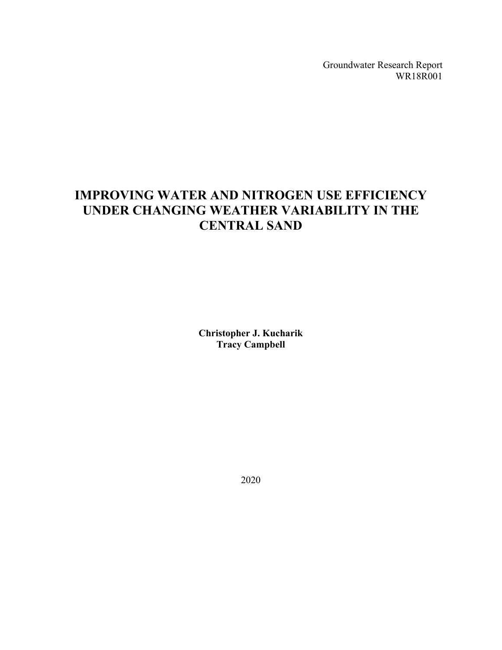Groundwater Research Report WR18R001

# **IMPROVING WATER AND NITROGEN USE EFFICIENCY UNDER CHANGING WEATHER VARIABILITY IN THE CENTRAL SAND**

**Christopher J. Kucharik Tracy Campbell**

2020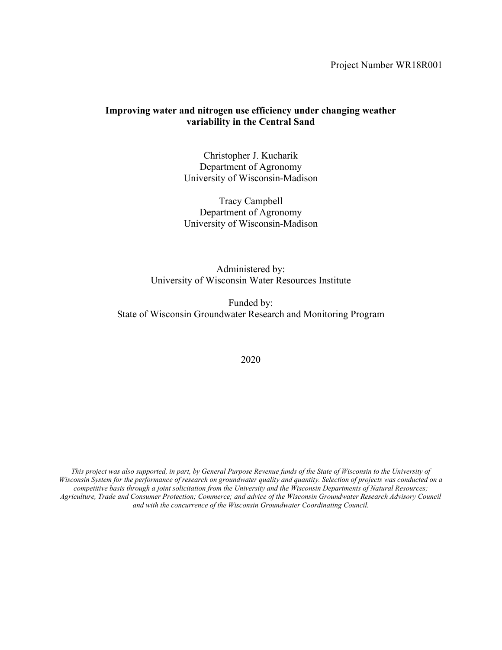Project Number WR18R001

# **Improving water and nitrogen use efficiency under changing weather variability in the Central Sand**

Christopher J. Kucharik Department of Agronomy University of Wisconsin-Madison

Tracy Campbell Department of Agronomy University of Wisconsin-Madison

Administered by: University of Wisconsin Water Resources Institute

Funded by: State of Wisconsin Groundwater Research and Monitoring Program

#### 2020

*This project was also supported, in part, by General Purpose Revenue funds of the State of Wisconsin to the University of Wisconsin System for the performance of research on groundwater quality and quantity. Selection of projects was conducted on a competitive basis through a joint solicitation from the University and the Wisconsin Departments of Natural Resources; Agriculture, Trade and Consumer Protection; Commerce; and advice of the Wisconsin Groundwater Research Advisory Council and with the concurrence of the Wisconsin Groundwater Coordinating Council.*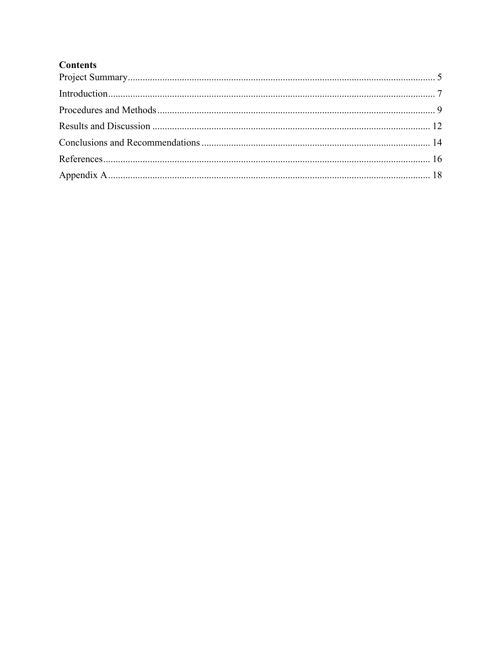# **Contents**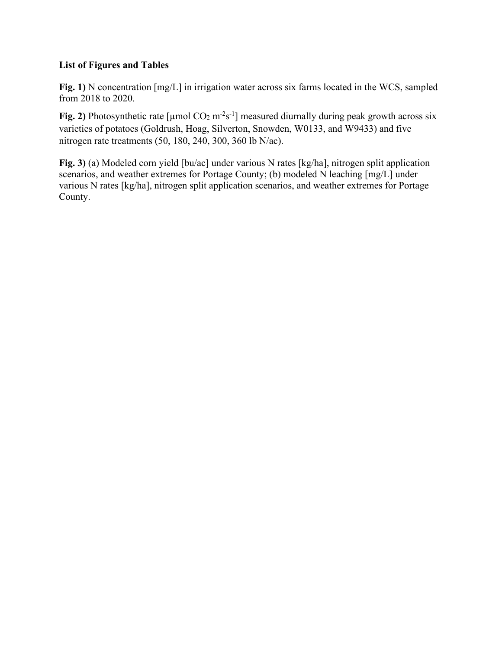# **List of Figures and Tables**

**Fig. 1)** N concentration [mg/L] in irrigation water across six farms located in the WCS, sampled from 2018 to 2020.

**Fig. 2)** Photosynthetic rate [ $\mu$ mol CO<sub>2</sub> m<sup>-2</sup>s<sup>-1</sup>] measured diurnally during peak growth across six varieties of potatoes (Goldrush, Hoag, Silverton, Snowden, W0133, and W9433) and five nitrogen rate treatments (50, 180, 240, 300, 360 lb N/ac).

**Fig. 3)** (a) Modeled corn yield [bu/ac] under various N rates [kg/ha], nitrogen split application scenarios, and weather extremes for Portage County; (b) modeled N leaching [mg/L] under various N rates [kg/ha], nitrogen split application scenarios, and weather extremes for Portage County.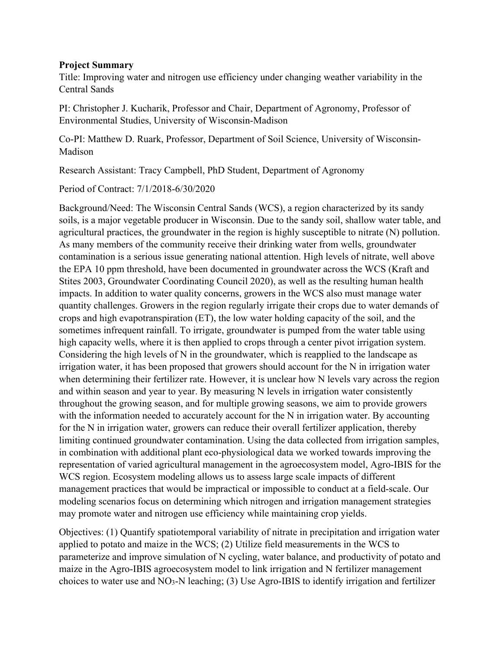#### <span id="page-4-0"></span>**Project Summary**

Title: Improving water and nitrogen use efficiency under changing weather variability in the Central Sands

PI: Christopher J. Kucharik, Professor and Chair, Department of Agronomy, Professor of Environmental Studies, University of Wisconsin-Madison

Co-PI: Matthew D. Ruark, Professor, Department of Soil Science, University of Wisconsin-Madison

Research Assistant: Tracy Campbell, PhD Student, Department of Agronomy

Period of Contract: 7/1/2018-6/30/2020

Background/Need: The Wisconsin Central Sands (WCS), a region characterized by its sandy soils, is a major vegetable producer in Wisconsin. Due to the sandy soil, shallow water table, and agricultural practices, the groundwater in the region is highly susceptible to nitrate (N) pollution. As many members of the community receive their drinking water from wells, groundwater contamination is a serious issue generating national attention. High levels of nitrate, well above the EPA 10 ppm threshold, have been documented in groundwater across the WCS (Kraft and Stites 2003, Groundwater Coordinating Council 2020), as well as the resulting human health impacts. In addition to water quality concerns, growers in the WCS also must manage water quantity challenges. Growers in the region regularly irrigate their crops due to water demands of crops and high evapotranspiration (ET), the low water holding capacity of the soil, and the sometimes infrequent rainfall. To irrigate, groundwater is pumped from the water table using high capacity wells, where it is then applied to crops through a center pivot irrigation system. Considering the high levels of N in the groundwater, which is reapplied to the landscape as irrigation water, it has been proposed that growers should account for the N in irrigation water when determining their fertilizer rate. However, it is unclear how N levels vary across the region and within season and year to year. By measuring N levels in irrigation water consistently throughout the growing season, and for multiple growing seasons, we aim to provide growers with the information needed to accurately account for the N in irrigation water. By accounting for the N in irrigation water, growers can reduce their overall fertilizer application, thereby limiting continued groundwater contamination. Using the data collected from irrigation samples, in combination with additional plant eco-physiological data we worked towards improving the representation of varied agricultural management in the agroecosystem model, Agro-IBIS for the WCS region. Ecosystem modeling allows us to assess large scale impacts of different management practices that would be impractical or impossible to conduct at a field-scale. Our modeling scenarios focus on determining which nitrogen and irrigation management strategies may promote water and nitrogen use efficiency while maintaining crop yields.

Objectives: (1) Quantify spatiotemporal variability of nitrate in precipitation and irrigation water applied to potato and maize in the WCS; (2) Utilize field measurements in the WCS to parameterize and improve simulation of N cycling, water balance, and productivity of potato and maize in the Agro-IBIS agroecosystem model to link irrigation and N fertilizer management choices to water use and NO3-N leaching; (3) Use Agro-IBIS to identify irrigation and fertilizer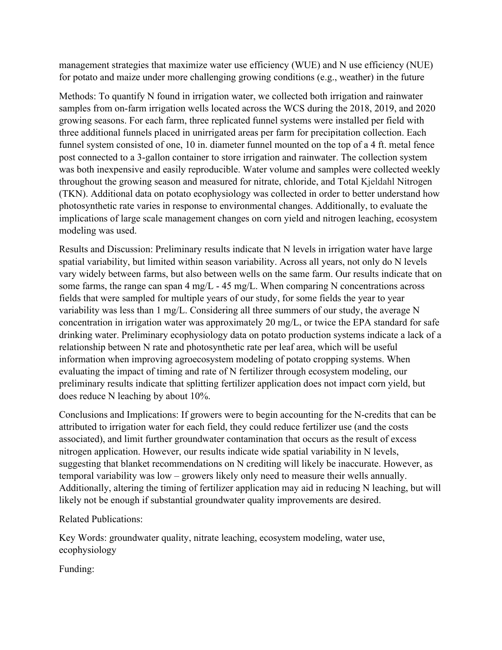management strategies that maximize water use efficiency (WUE) and N use efficiency (NUE) for potato and maize under more challenging growing conditions (e.g., weather) in the future

Methods: To quantify N found in irrigation water, we collected both irrigation and rainwater samples from on-farm irrigation wells located across the WCS during the 2018, 2019, and 2020 growing seasons. For each farm, three replicated funnel systems were installed per field with three additional funnels placed in unirrigated areas per farm for precipitation collection. Each funnel system consisted of one, 10 in. diameter funnel mounted on the top of a 4 ft. metal fence post connected to a 3-gallon container to store irrigation and rainwater. The collection system was both inexpensive and easily reproducible. Water volume and samples were collected weekly throughout the growing season and measured for nitrate, chloride, and Total Kjeldahl Nitrogen (TKN). Additional data on potato ecophysiology was collected in order to better understand how photosynthetic rate varies in response to environmental changes. Additionally, to evaluate the implications of large scale management changes on corn yield and nitrogen leaching, ecosystem modeling was used.

Results and Discussion: Preliminary results indicate that N levels in irrigation water have large spatial variability, but limited within season variability. Across all years, not only do N levels vary widely between farms, but also between wells on the same farm. Our results indicate that on some farms, the range can span 4 mg/L - 45 mg/L. When comparing N concentrations across fields that were sampled for multiple years of our study, for some fields the year to year variability was less than 1 mg/L. Considering all three summers of our study, the average N concentration in irrigation water was approximately 20 mg/L, or twice the EPA standard for safe drinking water. Preliminary ecophysiology data on potato production systems indicate a lack of a relationship between N rate and photosynthetic rate per leaf area, which will be useful information when improving agroecosystem modeling of potato cropping systems. When evaluating the impact of timing and rate of N fertilizer through ecosystem modeling, our preliminary results indicate that splitting fertilizer application does not impact corn yield, but does reduce N leaching by about 10%.

Conclusions and Implications: If growers were to begin accounting for the N-credits that can be attributed to irrigation water for each field, they could reduce fertilizer use (and the costs associated), and limit further groundwater contamination that occurs as the result of excess nitrogen application. However, our results indicate wide spatial variability in N levels, suggesting that blanket recommendations on N crediting will likely be inaccurate. However, as temporal variability was low – growers likely only need to measure their wells annually. Additionally, altering the timing of fertilizer application may aid in reducing N leaching, but will likely not be enough if substantial groundwater quality improvements are desired.

Related Publications:

Key Words: groundwater quality, nitrate leaching, ecosystem modeling, water use, ecophysiology

<span id="page-5-0"></span>Funding: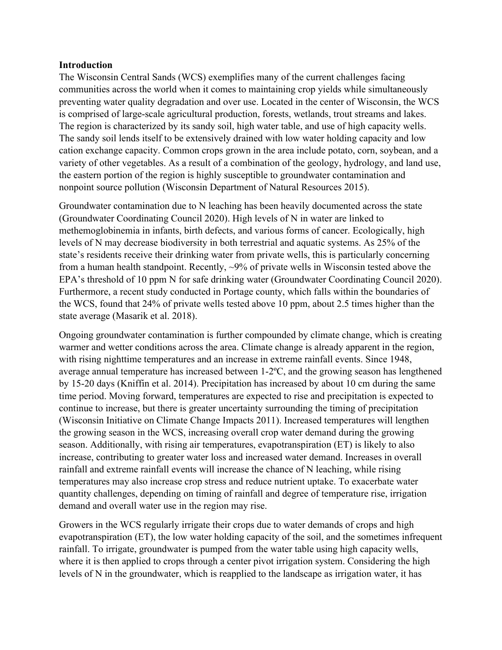#### **Introduction**

The Wisconsin Central Sands (WCS) exemplifies many of the current challenges facing communities across the world when it comes to maintaining crop yields while simultaneously preventing water quality degradation and over use. Located in the center of Wisconsin, the WCS is comprised of large-scale agricultural production, forests, wetlands, trout streams and lakes. The region is characterized by its sandy soil, high water table, and use of high capacity wells. The sandy soil lends itself to be extensively drained with low water holding capacity and low cation exchange capacity. Common crops grown in the area include potato, corn, soybean, and a variety of other vegetables. As a result of a combination of the geology, hydrology, and land use, the eastern portion of the region is highly susceptible to groundwater contamination and nonpoint source pollution (Wisconsin Department of Natural Resources 2015).

Groundwater contamination due to N leaching has been heavily documented across the state (Groundwater Coordinating Council 2020). High levels of N in water are linked to methemoglobinemia in infants, birth defects, and various forms of cancer. Ecologically, high levels of N may decrease biodiversity in both terrestrial and aquatic systems. As 25% of the state's residents receive their drinking water from private wells, this is particularly concerning from a human health standpoint. Recently, ~9% of private wells in Wisconsin tested above the EPA's threshold of 10 ppm N for safe drinking water (Groundwater Coordinating Council 2020). Furthermore, a recent study conducted in Portage county, which falls within the boundaries of the WCS, found that 24% of private wells tested above 10 ppm, about 2.5 times higher than the state average (Masarik et al. 2018).

Ongoing groundwater contamination is further compounded by climate change, which is creating warmer and wetter conditions across the area. Climate change is already apparent in the region, with rising nighttime temperatures and an increase in extreme rainfall events. Since 1948, average annual temperature has increased between 1-2ºC, and the growing season has lengthened by 15-20 days (Kniffin et al. 2014). Precipitation has increased by about 10 cm during the same time period. Moving forward, temperatures are expected to rise and precipitation is expected to continue to increase, but there is greater uncertainty surrounding the timing of precipitation (Wisconsin Initiative on Climate Change Impacts 2011). Increased temperatures will lengthen the growing season in the WCS, increasing overall crop water demand during the growing season. Additionally, with rising air temperatures, evapotranspiration (ET) is likely to also increase, contributing to greater water loss and increased water demand. Increases in overall rainfall and extreme rainfall events will increase the chance of N leaching, while rising temperatures may also increase crop stress and reduce nutrient uptake. To exacerbate water quantity challenges, depending on timing of rainfall and degree of temperature rise, irrigation demand and overall water use in the region may rise.

Growers in the WCS regularly irrigate their crops due to water demands of crops and high evapotranspiration (ET), the low water holding capacity of the soil, and the sometimes infrequent rainfall. To irrigate, groundwater is pumped from the water table using high capacity wells, where it is then applied to crops through a center pivot irrigation system. Considering the high levels of N in the groundwater, which is reapplied to the landscape as irrigation water, it has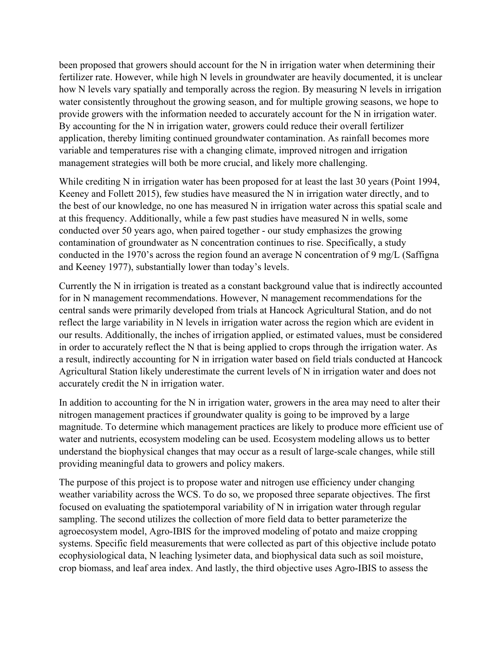been proposed that growers should account for the N in irrigation water when determining their fertilizer rate. However, while high N levels in groundwater are heavily documented, it is unclear how N levels vary spatially and temporally across the region. By measuring N levels in irrigation water consistently throughout the growing season, and for multiple growing seasons, we hope to provide growers with the information needed to accurately account for the N in irrigation water. By accounting for the N in irrigation water, growers could reduce their overall fertilizer application, thereby limiting continued groundwater contamination. As rainfall becomes more variable and temperatures rise with a changing climate, improved nitrogen and irrigation management strategies will both be more crucial, and likely more challenging.

While crediting N in irrigation water has been proposed for at least the last 30 years (Point 1994, Keeney and Follett 2015), few studies have measured the N in irrigation water directly, and to the best of our knowledge, no one has measured N in irrigation water across this spatial scale and at this frequency. Additionally, while a few past studies have measured N in wells, some conducted over 50 years ago, when paired together - our study emphasizes the growing contamination of groundwater as N concentration continues to rise. Specifically, a study conducted in the 1970's across the region found an average N concentration of 9 mg/L (Saffigna and Keeney 1977), substantially lower than today's levels.

Currently the N in irrigation is treated as a constant background value that is indirectly accounted for in N management recommendations. However, N management recommendations for the central sands were primarily developed from trials at Hancock Agricultural Station, and do not reflect the large variability in N levels in irrigation water across the region which are evident in our results. Additionally, the inches of irrigation applied, or estimated values, must be considered in order to accurately reflect the N that is being applied to crops through the irrigation water. As a result, indirectly accounting for N in irrigation water based on field trials conducted at Hancock Agricultural Station likely underestimate the current levels of N in irrigation water and does not accurately credit the N in irrigation water.

In addition to accounting for the N in irrigation water, growers in the area may need to alter their nitrogen management practices if groundwater quality is going to be improved by a large magnitude. To determine which management practices are likely to produce more efficient use of water and nutrients, ecosystem modeling can be used. Ecosystem modeling allows us to better understand the biophysical changes that may occur as a result of large-scale changes, while still providing meaningful data to growers and policy makers.

The purpose of this project is to propose water and nitrogen use efficiency under changing weather variability across the WCS. To do so, we proposed three separate objectives. The first focused on evaluating the spatiotemporal variability of N in irrigation water through regular sampling. The second utilizes the collection of more field data to better parameterize the agroecosystem model, Agro-IBIS for the improved modeling of potato and maize cropping systems. Specific field measurements that were collected as part of this objective include potato ecophysiological data, N leaching lysimeter data, and biophysical data such as soil moisture, crop biomass, and leaf area index. And lastly, the third objective uses Agro-IBIS to assess the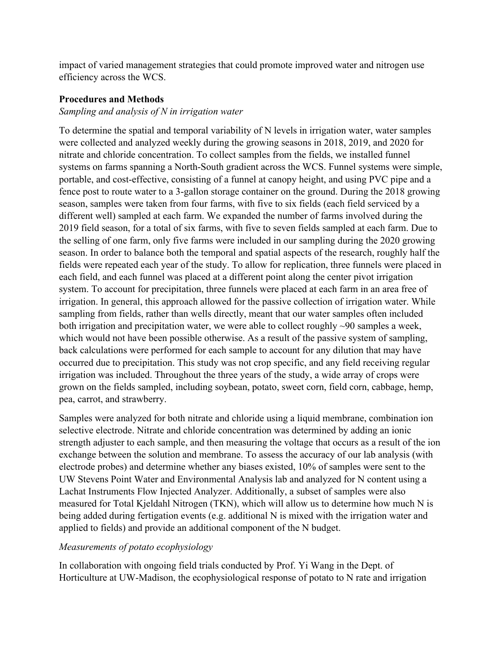impact of varied management strategies that could promote improved water and nitrogen use efficiency across the WCS.

## <span id="page-8-0"></span>**Procedures and Methods**

#### *Sampling and analysis of N in irrigation water*

To determine the spatial and temporal variability of N levels in irrigation water, water samples were collected and analyzed weekly during the growing seasons in 2018, 2019, and 2020 for nitrate and chloride concentration. To collect samples from the fields, we installed funnel systems on farms spanning a North-South gradient across the WCS. Funnel systems were simple, portable, and cost-effective, consisting of a funnel at canopy height, and using PVC pipe and a fence post to route water to a 3-gallon storage container on the ground. During the 2018 growing season, samples were taken from four farms, with five to six fields (each field serviced by a different well) sampled at each farm. We expanded the number of farms involved during the 2019 field season, for a total of six farms, with five to seven fields sampled at each farm. Due to the selling of one farm, only five farms were included in our sampling during the 2020 growing season. In order to balance both the temporal and spatial aspects of the research, roughly half the fields were repeated each year of the study. To allow for replication, three funnels were placed in each field, and each funnel was placed at a different point along the center pivot irrigation system. To account for precipitation, three funnels were placed at each farm in an area free of irrigation. In general, this approach allowed for the passive collection of irrigation water. While sampling from fields, rather than wells directly, meant that our water samples often included both irrigation and precipitation water, we were able to collect roughly ~90 samples a week, which would not have been possible otherwise. As a result of the passive system of sampling, back calculations were performed for each sample to account for any dilution that may have occurred due to precipitation. This study was not crop specific, and any field receiving regular irrigation was included. Throughout the three years of the study, a wide array of crops were grown on the fields sampled, including soybean, potato, sweet corn, field corn, cabbage, hemp, pea, carrot, and strawberry.

Samples were analyzed for both nitrate and chloride using a liquid membrane, combination ion selective electrode. Nitrate and chloride concentration was determined by adding an ionic strength adjuster to each sample, and then measuring the voltage that occurs as a result of the ion exchange between the solution and membrane. To assess the accuracy of our lab analysis (with electrode probes) and determine whether any biases existed, 10% of samples were sent to the UW Stevens Point Water and Environmental Analysis lab and analyzed for N content using a Lachat Instruments Flow Injected Analyzer. Additionally, a subset of samples were also measured for Total Kjeldahl Nitrogen (TKN), which will allow us to determine how much N is being added during fertigation events (e.g. additional N is mixed with the irrigation water and applied to fields) and provide an additional component of the N budget.

#### *Measurements of potato ecophysiology*

In collaboration with ongoing field trials conducted by Prof. Yi Wang in the Dept. of Horticulture at UW-Madison, the ecophysiological response of potato to N rate and irrigation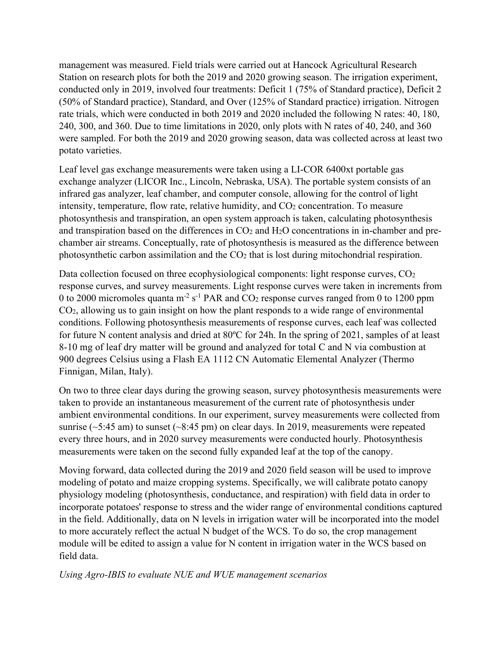management was measured. Field trials were carried out at Hancock Agricultural Research Station on research plots for both the 2019 and 2020 growing season. The irrigation experiment, conducted only in 2019, involved four treatments: Deficit 1 (75% of Standard practice), Deficit 2 (50% of Standard practice), Standard, and Over (125% of Standard practice) irrigation. Nitrogen rate trials, which were conducted in both 2019 and 2020 included the following N rates: 40, 180, 240, 300, and 360. Due to time limitations in 2020, only plots with N rates of 40, 240, and 360 were sampled. For both the 2019 and 2020 growing season, data was collected across at least two potato varieties.

Leaf level gas exchange measurements were taken using a LI-COR 6400xt portable gas exchange analyzer (LICOR Inc., Lincoln, Nebraska, USA). The portable system consists of an infrared gas analyzer, leaf chamber, and computer console, allowing for the control of light intensity, temperature, flow rate, relative humidity, and CO<sub>2</sub> concentration. To measure photosynthesis and transpiration, an open system approach is taken, calculating photosynthesis and transpiration based on the differences in CO2 and H2O concentrations in in-chamber and prechamber air streams. Conceptually, rate of photosynthesis is measured as the difference between photosynthetic carbon assimilation and the CO2 that is lost during mitochondrial respiration.

Data collection focused on three ecophysiological components: light response curves, CO<sub>2</sub> response curves, and survey measurements. Light response curves were taken in increments from 0 to 2000 micromoles quanta  $m^2 s^{-1}$  PAR and CO<sub>2</sub> response curves ranged from 0 to 1200 ppm CO2, allowing us to gain insight on how the plant responds to a wide range of environmental conditions. Following photosynthesis measurements of response curves, each leaf was collected for future N content analysis and dried at 80ºC for 24h. In the spring of 2021, samples of at least 8-10 mg of leaf dry matter will be ground and analyzed for total C and N via combustion at 900 degrees Celsius using a Flash EA 1112 CN Automatic Elemental Analyzer (Thermo Finnigan, Milan, Italy).

On two to three clear days during the growing season, survey photosynthesis measurements were taken to provide an instantaneous measurement of the current rate of photosynthesis under ambient environmental conditions. In our experiment, survey measurements were collected from sunrise ( $\sim$ 5:45 am) to sunset ( $\sim$ 8:45 pm) on clear days. In 2019, measurements were repeated every three hours, and in 2020 survey measurements were conducted hourly. Photosynthesis measurements were taken on the second fully expanded leaf at the top of the canopy.

Moving forward, data collected during the 2019 and 2020 field season will be used to improve modeling of potato and maize cropping systems. Specifically, we will calibrate potato canopy physiology modeling (photosynthesis, conductance, and respiration) with field data in order to incorporate potatoes' response to stress and the wider range of environmental conditions captured in the field. Additionally, data on N levels in irrigation water will be incorporated into the model to more accurately reflect the actual N budget of the WCS. To do so, the crop management module will be edited to assign a value for N content in irrigation water in the WCS based on field data.

#### *Using Agro-IBIS to evaluate NUE and WUE management scenarios*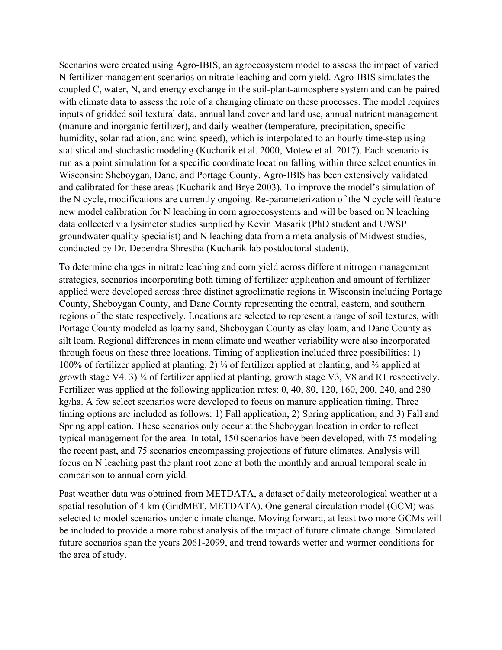Scenarios were created using Agro-IBIS, an agroecosystem model to assess the impact of varied N fertilizer management scenarios on nitrate leaching and corn yield. Agro-IBIS simulates the coupled C, water, N, and energy exchange in the soil-plant-atmosphere system and can be paired with climate data to assess the role of a changing climate on these processes. The model requires inputs of gridded soil textural data, annual land cover and land use, annual nutrient management (manure and inorganic fertilizer), and daily weather (temperature, precipitation, specific humidity, solar radiation, and wind speed), which is interpolated to an hourly time-step using statistical and stochastic modeling (Kucharik et al. 2000, Motew et al. 2017). Each scenario is run as a point simulation for a specific coordinate location falling within three select counties in Wisconsin: Sheboygan, Dane, and Portage County. Agro-IBIS has been extensively validated and calibrated for these areas (Kucharik and Brye 2003). To improve the model's simulation of the N cycle, modifications are currently ongoing. Re-parameterization of the N cycle will feature new model calibration for N leaching in corn agroecosystems and will be based on N leaching data collected via lysimeter studies supplied by Kevin Masarik (PhD student and UWSP groundwater quality specialist) and N leaching data from a meta-analysis of Midwest studies, conducted by Dr. Debendra Shrestha (Kucharik lab postdoctoral student).

To determine changes in nitrate leaching and corn yield across different nitrogen management strategies, scenarios incorporating both timing of fertilizer application and amount of fertilizer applied were developed across three distinct agroclimatic regions in Wisconsin including Portage County, Sheboygan County, and Dane County representing the central, eastern, and southern regions of the state respectively. Locations are selected to represent a range of soil textures, with Portage County modeled as loamy sand, Sheboygan County as clay loam, and Dane County as silt loam. Regional differences in mean climate and weather variability were also incorporated through focus on these three locations. Timing of application included three possibilities: 1) 100% of fertilizer applied at planting. 2) ⅓ of fertilizer applied at planting, and ⅔ applied at growth stage V4. 3) ¼ of fertilizer applied at planting, growth stage V3, V8 and R1 respectively. Fertilizer was applied at the following application rates: 0, 40, 80, 120, 160, 200, 240, and 280 kg/ha. A few select scenarios were developed to focus on manure application timing. Three timing options are included as follows: 1) Fall application, 2) Spring application, and 3) Fall and Spring application. These scenarios only occur at the Sheboygan location in order to reflect typical management for the area. In total, 150 scenarios have been developed, with 75 modeling the recent past, and 75 scenarios encompassing projections of future climates. Analysis will focus on N leaching past the plant root zone at both the monthly and annual temporal scale in comparison to annual corn yield.

Past weather data was obtained from METDATA, a dataset of daily meteorological weather at a spatial resolution of 4 km (GridMET, METDATA). One general circulation model (GCM) was selected to model scenarios under climate change. Moving forward, at least two more GCMs will be included to provide a more robust analysis of the impact of future climate change. Simulated future scenarios span the years 2061-2099, and trend towards wetter and warmer conditions for the area of study.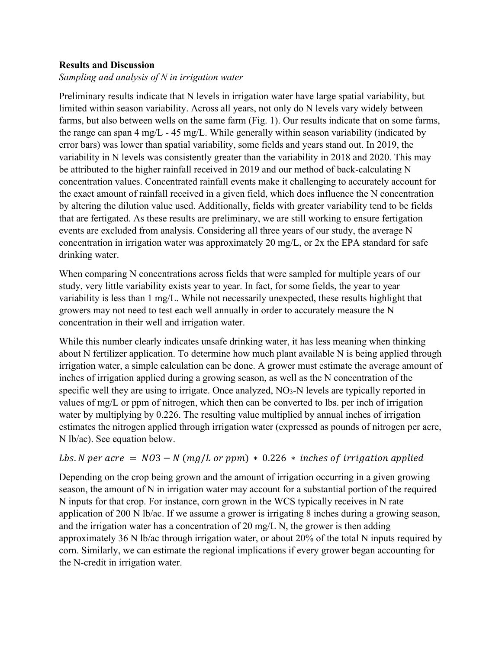# <span id="page-11-0"></span>**Results and Discussion**

# *Sampling and analysis of N in irrigation water*

Preliminary results indicate that N levels in irrigation water have large spatial variability, but limited within season variability. Across all years, not only do N levels vary widely between farms, but also between wells on the same farm (Fig. 1). Our results indicate that on some farms, the range can span 4 mg/L - 45 mg/L. While generally within season variability (indicated by error bars) was lower than spatial variability, some fields and years stand out. In 2019, the variability in N levels was consistently greater than the variability in 2018 and 2020. This may be attributed to the higher rainfall received in 2019 and our method of back-calculating N concentration values. Concentrated rainfall events make it challenging to accurately account for the exact amount of rainfall received in a given field, which does influence the N concentration by altering the dilution value used. Additionally, fields with greater variability tend to be fields that are fertigated. As these results are preliminary, we are still working to ensure fertigation events are excluded from analysis. Considering all three years of our study, the average N concentration in irrigation water was approximately 20 mg/L, or 2x the EPA standard for safe drinking water.

When comparing N concentrations across fields that were sampled for multiple years of our study, very little variability exists year to year. In fact, for some fields, the year to year variability is less than 1 mg/L. While not necessarily unexpected, these results highlight that growers may not need to test each well annually in order to accurately measure the N concentration in their well and irrigation water.

While this number clearly indicates unsafe drinking water, it has less meaning when thinking about N fertilizer application. To determine how much plant available N is being applied through irrigation water, a simple calculation can be done. A grower must estimate the average amount of inches of irrigation applied during a growing season, as well as the N concentration of the specific well they are using to irrigate. Once analyzed, NO<sub>3</sub>-N levels are typically reported in values of mg/L or ppm of nitrogen, which then can be converted to lbs. per inch of irrigation water by multiplying by 0.226. The resulting value multiplied by annual inches of irrigation estimates the nitrogen applied through irrigation water (expressed as pounds of nitrogen per acre, N lb/ac). See equation below.

# Lbs. N per acre =  $N03 - N$  (mg/L or ppm)  $* 0.226 *$  inches of irrigation applied

Depending on the crop being grown and the amount of irrigation occurring in a given growing season, the amount of N in irrigation water may account for a substantial portion of the required N inputs for that crop. For instance, corn grown in the WCS typically receives in N rate application of 200 N lb/ac. If we assume a grower is irrigating 8 inches during a growing season, and the irrigation water has a concentration of 20 mg/L N, the grower is then adding approximately 36 N lb/ac through irrigation water, or about 20% of the total N inputs required by corn. Similarly, we can estimate the regional implications if every grower began accounting for the N-credit in irrigation water.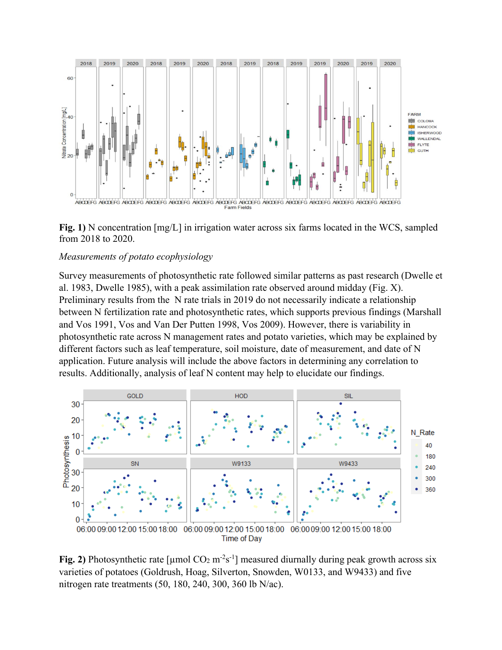

**Fig. 1)** N concentration [mg/L] in irrigation water across six farms located in the WCS, sampled from 2018 to 2020.

#### *Measurements of potato ecophysiology*

Survey measurements of photosynthetic rate followed similar patterns as past research (Dwelle et al. 1983, Dwelle 1985), with a peak assimilation rate observed around midday (Fig. X). Preliminary results from the N rate trials in 2019 do not necessarily indicate a relationship between N fertilization rate and photosynthetic rates, which supports previous findings (Marshall and Vos 1991, Vos and Van Der Putten 1998, Vos 2009). However, there is variability in photosynthetic rate across N management rates and potato varieties, which may be explained by different factors such as leaf temperature, soil moisture, date of measurement, and date of N application. Future analysis will include the above factors in determining any correlation to results. Additionally, analysis of leaf N content may help to elucidate our findings.



Fig. 2) Photosynthetic rate [ $\mu$ mol CO<sub>2</sub> m<sup>-2</sup>s<sup>-1</sup>] measured diurnally during peak growth across six varieties of potatoes (Goldrush, Hoag, Silverton, Snowden, W0133, and W9433) and five nitrogen rate treatments (50, 180, 240, 300, 360 lb N/ac).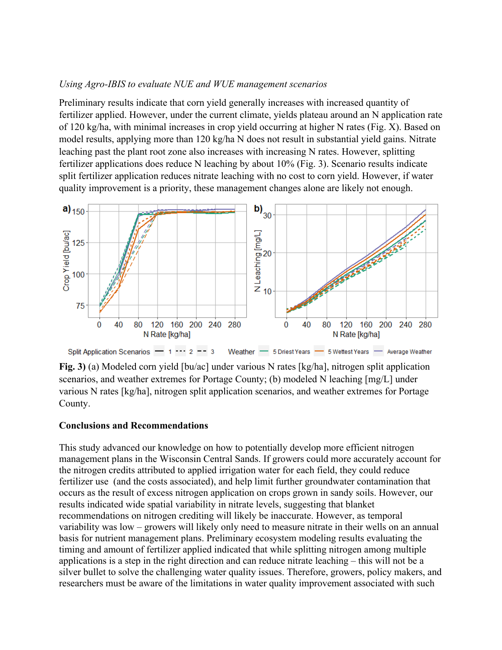#### *Using Agro-IBIS to evaluate NUE and WUE management scenarios*

Preliminary results indicate that corn yield generally increases with increased quantity of fertilizer applied. However, under the current climate, yields plateau around an N application rate of 120 kg/ha, with minimal increases in crop yield occurring at higher N rates (Fig. X). Based on model results, applying more than 120 kg/ha N does not result in substantial yield gains. Nitrate leaching past the plant root zone also increases with increasing N rates. However, splitting fertilizer applications does reduce N leaching by about 10% (Fig. 3). Scenario results indicate split fertilizer application reduces nitrate leaching with no cost to corn yield. However, if water quality improvement is a priority, these management changes alone are likely not enough.



Split Application Scenarios  $-1$   $-2$   $-3$ Weather - 5 Driest Years - 5 Wettest Years - Average Weather

**Fig. 3)** (a) Modeled corn yield [bu/ac] under various N rates [kg/ha], nitrogen split application scenarios, and weather extremes for Portage County; (b) modeled N leaching [mg/L] under various N rates [kg/ha], nitrogen split application scenarios, and weather extremes for Portage County.

#### <span id="page-13-0"></span>**Conclusions and Recommendations**

This study advanced our knowledge on how to potentially develop more efficient nitrogen management plans in the Wisconsin Central Sands. If growers could more accurately account for the nitrogen credits attributed to applied irrigation water for each field, they could reduce fertilizer use (and the costs associated), and help limit further groundwater contamination that occurs as the result of excess nitrogen application on crops grown in sandy soils. However, our results indicated wide spatial variability in nitrate levels, suggesting that blanket recommendations on nitrogen crediting will likely be inaccurate. However, as temporal variability was low – growers will likely only need to measure nitrate in their wells on an annual basis for nutrient management plans. Preliminary ecosystem modeling results evaluating the timing and amount of fertilizer applied indicated that while splitting nitrogen among multiple applications is a step in the right direction and can reduce nitrate leaching – this will not be a silver bullet to solve the challenging water quality issues. Therefore, growers, policy makers, and researchers must be aware of the limitations in water quality improvement associated with such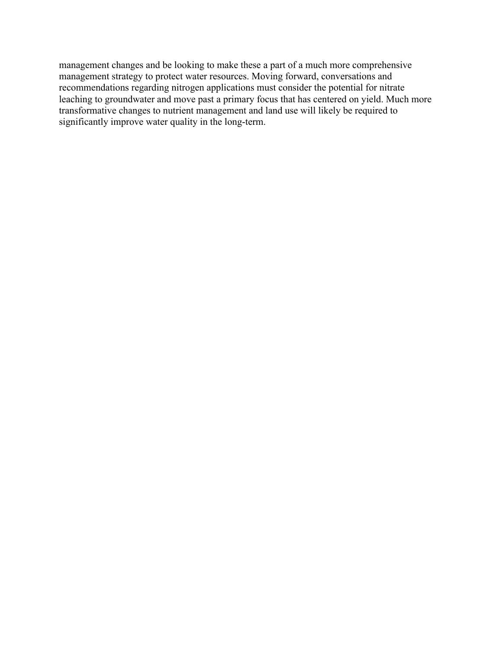management changes and be looking to make these a part of a much more comprehensive management strategy to protect water resources. Moving forward, conversations and recommendations regarding nitrogen applications must consider the potential for nitrate leaching to groundwater and move past a primary focus that has centered on yield. Much more transformative changes to nutrient management and land use will likely be required to significantly improve water quality in the long-term.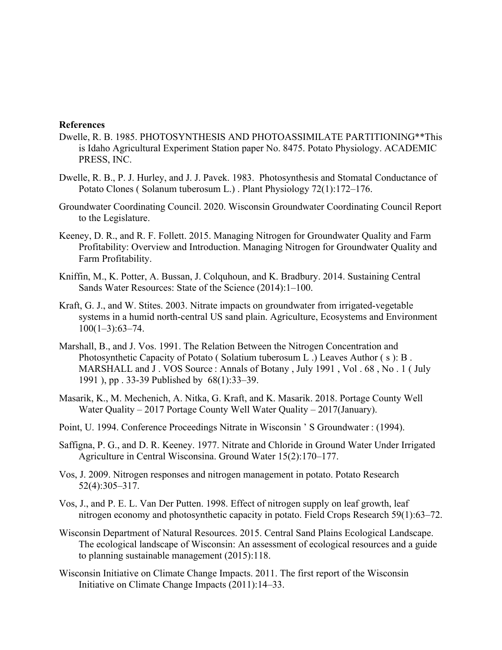#### <span id="page-15-0"></span>**References**

- Dwelle, R. B. 1985. PHOTOSYNTHESIS AND PHOTOASSIMILATE PARTITIONING\*\*This is Idaho Agricultural Experiment Station paper No. 8475. Potato Physiology. ACADEMIC PRESS, INC.
- Dwelle, R. B., P. J. Hurley, and J. J. Pavek. 1983. Photosynthesis and Stomatal Conductance of Potato Clones ( Solanum tuberosum L.) . Plant Physiology 72(1):172–176.
- Groundwater Coordinating Council. 2020. Wisconsin Groundwater Coordinating Council Report to the Legislature.
- Keeney, D. R., and R. F. Follett. 2015. Managing Nitrogen for Groundwater Quality and Farm Profitability: Overview and Introduction. Managing Nitrogen for Groundwater Quality and Farm Profitability.
- Kniffin, M., K. Potter, A. Bussan, J. Colquhoun, and K. Bradbury. 2014. Sustaining Central Sands Water Resources: State of the Science (2014):1–100.
- Kraft, G. J., and W. Stites. 2003. Nitrate impacts on groundwater from irrigated-vegetable systems in a humid north-central US sand plain. Agriculture, Ecosystems and Environment  $100(1-3):63-74.$
- Marshall, B., and J. Vos. 1991. The Relation Between the Nitrogen Concentration and Photosynthetic Capacity of Potato ( Solatium tuberosum L .) Leaves Author ( s ): B . MARSHALL and J. VOS Source : Annals of Botany, July 1991, Vol. 68, No. 1 (July 1991 ), pp . 33-39 Published by 68(1):33–39.
- Masarik, K., M. Mechenich, A. Nitka, G. Kraft, and K. Masarik. 2018. Portage County Well Water Quality – 2017 Portage County Well Water Quality – 2017(January).
- Point, U. 1994. Conference Proceedings Nitrate in Wisconsin ' S Groundwater : (1994).
- Saffigna, P. G., and D. R. Keeney. 1977. Nitrate and Chloride in Ground Water Under Irrigated Agriculture in Central Wisconsina. Ground Water 15(2):170–177.
- Vos, J. 2009. Nitrogen responses and nitrogen management in potato. Potato Research 52(4):305–317.
- Vos, J., and P. E. L. Van Der Putten. 1998. Effect of nitrogen supply on leaf growth, leaf nitrogen economy and photosynthetic capacity in potato. Field Crops Research 59(1):63–72.
- Wisconsin Department of Natural Resources. 2015. Central Sand Plains Ecological Landscape. The ecological landscape of Wisconsin: An assessment of ecological resources and a guide to planning sustainable management (2015):118.
- Wisconsin Initiative on Climate Change Impacts. 2011. The first report of the Wisconsin Initiative on Climate Change Impacts (2011):14–33.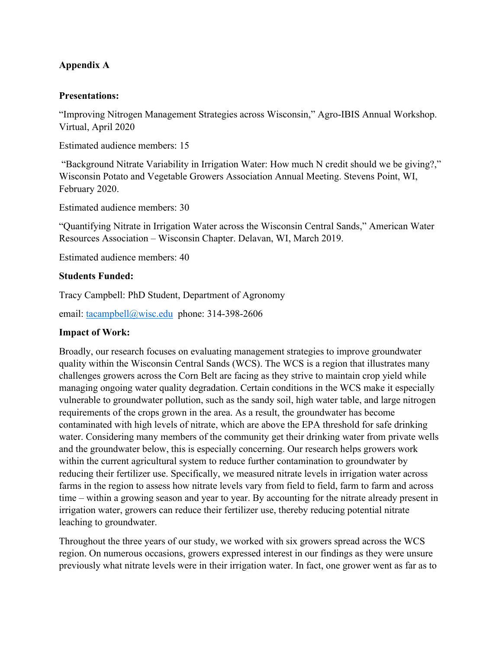# <span id="page-17-0"></span>**Appendix A**

## **Presentations:**

"Improving Nitrogen Management Strategies across Wisconsin," Agro-IBIS Annual Workshop. Virtual, April 2020

Estimated audience members: 15

"Background Nitrate Variability in Irrigation Water: How much N credit should we be giving?," Wisconsin Potato and Vegetable Growers Association Annual Meeting. Stevens Point, WI, February 2020.

Estimated audience members: 30

"Quantifying Nitrate in Irrigation Water across the Wisconsin Central Sands," American Water Resources Association – Wisconsin Chapter. Delavan, WI, March 2019.

Estimated audience members: 40

# **Students Funded:**

Tracy Campbell: PhD Student, Department of Agronomy

email: [tacampbell@wisc.edu](mailto:tacampbell@wisc.edu) phone: 314-398-2606

#### **Impact of Work:**

Broadly, our research focuses on evaluating management strategies to improve groundwater quality within the Wisconsin Central Sands (WCS). The WCS is a region that illustrates many challenges growers across the Corn Belt are facing as they strive to maintain crop yield while managing ongoing water quality degradation. Certain conditions in the WCS make it especially vulnerable to groundwater pollution, such as the sandy soil, high water table, and large nitrogen requirements of the crops grown in the area. As a result, the groundwater has become contaminated with high levels of nitrate, which are above the EPA threshold for safe drinking water. Considering many members of the community get their drinking water from private wells and the groundwater below, this is especially concerning. Our research helps growers work within the current agricultural system to reduce further contamination to groundwater by reducing their fertilizer use. Specifically, we measured nitrate levels in irrigation water across farms in the region to assess how nitrate levels vary from field to field, farm to farm and across time – within a growing season and year to year. By accounting for the nitrate already present in irrigation water, growers can reduce their fertilizer use, thereby reducing potential nitrate leaching to groundwater.

Throughout the three years of our study, we worked with six growers spread across the WCS region. On numerous occasions, growers expressed interest in our findings as they were unsure previously what nitrate levels were in their irrigation water. In fact, one grower went as far as to